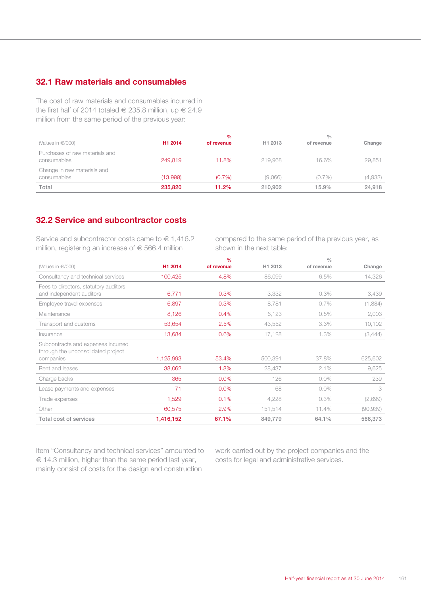# **32.1 Raw materials and consumables**

The cost of raw materials and consumables incurred in the first half of 2014 totaled  $\in$  235.8 million, up  $\in$  24.9 million from the same period of the previous year:

|                                               |                     | $\frac{0}{0}$ |                     | $\frac{0}{0}$ |         |
|-----------------------------------------------|---------------------|---------------|---------------------|---------------|---------|
| (Values in $\in$ /000)                        | H <sub>1</sub> 2014 | of revenue    | H <sub>1</sub> 2013 | of revenue    | Change  |
| Purchases of raw materials and<br>consumables | 249.819             | 11.8%         | 219.968             | 16.6%         | 29,851  |
| Change in raw materials and<br>consumables    | (13.999)            | $(0.7\%)$     | (9.066)             | $(0.7\%)$     | (4,933) |
| Total                                         | 235,820             | 11.2%         | 210,902             | 15.9%         | 24.918  |

### **32.2 Service and subcontractor costs**

Service and subcontractor costs came to  $\in 1,416.2$ million, registering an increase of  $\epsilon$  566.4 million

compared to the same period of the previous year, as shown in the next table:

|                                                                                       |           | $\frac{0}{0}$ |         | $\frac{0}{0}$ |           |
|---------------------------------------------------------------------------------------|-----------|---------------|---------|---------------|-----------|
| (Values in $\in$ /000)                                                                | H1 2014   | of revenue    | H1 2013 | of revenue    | Change    |
| Consultancy and technical services                                                    | 100,425   | 4.8%          | 86,099  | 6.5%          | 14,326    |
| Fees to directors, statutory auditors<br>and independent auditors                     | 6,771     | 0.3%          | 3,332   | 0.3%          | 3,439     |
| Employee travel expenses                                                              | 6,897     | 0.3%          | 8,781   | $0.7\%$       | (1,884)   |
| Maintenance                                                                           | 8,126     | 0.4%          | 6,123   | 0.5%          | 2,003     |
| Transport and customs                                                                 | 53,654    | 2.5%          | 43,552  | 3.3%          | 10,102    |
| Insurance                                                                             | 13,684    | 0.6%          | 17,128  | 1.3%          | (3,444)   |
| Subcontracts and expenses incurred<br>through the unconsolidated project<br>companies | 1,125,993 | 53.4%         | 500,391 | 37.8%         | 625,602   |
| Rent and leases                                                                       | 38,062    | 1.8%          | 28,437  | 2.1%          | 9,625     |
| Charge backs                                                                          | 365       | 0.0%          | 126     | $0.0\%$       | 239       |
| Lease payments and expenses                                                           | 71        | 0.0%          | 68      | $0.0\%$       | 3         |
| Trade expenses                                                                        | 1,529     | 0.1%          | 4,228   | 0.3%          | (2,699)   |
| Other                                                                                 | 60,575    | 2.9%          | 151,514 | 11.4%         | (90, 939) |
| Total cost of services                                                                | 1,416,152 | 67.1%         | 849,779 | 64.1%         | 566,373   |

Item "Consultancy and technical services" amounted to € 14.3 million, higher than the same period last year, mainly consist of costs for the design and construction

work carried out by the project companies and the costs for legal and administrative services.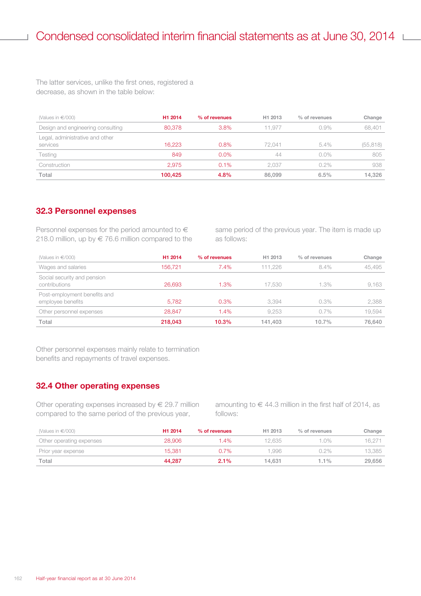The latter services, unlike the first ones, registered a decrease, as shown in the table below:

| (Values in $\in$ /000)            | H <sub>1</sub> 2014 | % of revenues | H <sub>1</sub> 2013 | % of revenues | Change    |
|-----------------------------------|---------------------|---------------|---------------------|---------------|-----------|
| Design and engineering consulting | 80,378              | 3.8%          | 11.977              | 0.9%          | 68,401    |
| Legal, administrative and other   |                     |               |                     |               |           |
| services                          | 16.223              | 0.8%          | 72.041              | 5.4%          | (55, 818) |
| Testing                           | 849                 | 0.0%          | 44                  | $0.0\%$       | 805       |
| Construction                      | 2.975               | $0.1\%$       | 2.037               | $0.2\%$       | 938       |
| Total                             | 100.425             | 4.8%          | 86,099              | 6.5%          | 14.326    |

#### **32.3 Personnel expenses**

Personnel expenses for the period amounted to  $\in$ 218.0 million, up by  $\in$  76.6 million compared to the same period of the previous year. The item is made up as follows:

| (Values in $\in$ /000)                            | H1 2014 | % of revenues | H <sub>1</sub> 2013 | % of revenues | Change |
|---------------------------------------------------|---------|---------------|---------------------|---------------|--------|
| Wages and salaries                                | 156.721 | $7.4\%$       | 111.226             | 8.4%          | 45.495 |
| Social security and pension<br>contributions      | 26,693  | 1.3%          | 17,530              | 1.3%          | 9,163  |
| Post-employment benefits and<br>employee benefits | 5,782   | 0.3%          | 3.394               | 0.3%          | 2.388  |
| Other personnel expenses                          | 28.847  | 1.4%          | 9.253               | 0.7%          | 19.594 |
| Total                                             | 218,043 | 10.3%         | 141.403             | $10.7\%$      | 76,640 |

Other personnel expenses mainly relate to termination benefits and repayments of travel expenses.

### **32.4 Other operating expenses**

Other operating expenses increased by  $\epsilon$  29.7 million compared to the same period of the previous year,

amounting to  $\in$  44.3 million in the first half of 2014, as follows:

| (Values in €/000)        | H <sub>1</sub> 2014 | % of revenues | H <sub>1</sub> 2013 | $%$ of revenues | Change |
|--------------------------|---------------------|---------------|---------------------|-----------------|--------|
| Other operating expenses | 28,906              | $1.4\%$       | 12.635              | $.0\%$          | 16.271 |
| Prior year expense       | 15.381              | $0.7\%$       | .996.               | $0.2\%$         | 13.385 |
| Total                    | 44.287              | $2.1\%$       | 14.631              | $1.1\%$         | 29,656 |